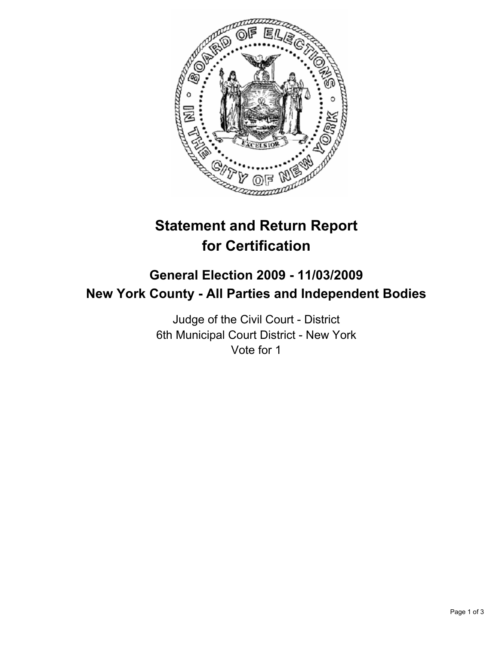

# **Statement and Return Report for Certification**

# **General Election 2009 - 11/03/2009 New York County - All Parties and Independent Bodies**

Judge of the Civil Court - District 6th Municipal Court District - New York Vote for 1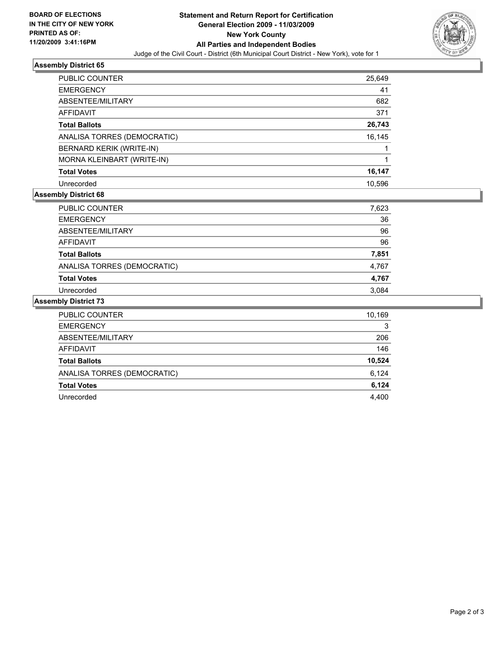

#### **Assembly District 65**

| PUBLIC COUNTER              | 25,649 |
|-----------------------------|--------|
| <b>EMERGENCY</b>            | 41     |
| ABSENTEE/MILITARY           | 682    |
| AFFIDAVIT                   | 371    |
| <b>Total Ballots</b>        | 26,743 |
| ANALISA TORRES (DEMOCRATIC) | 16,145 |
| BERNARD KERIK (WRITE-IN)    |        |
| MORNA KLEINBART (WRITE-IN)  |        |
| <b>Total Votes</b>          | 16,147 |
| Unrecorded                  | 10.596 |

## **Assembly District 68**

| PUBLIC COUNTER              | 7,623 |
|-----------------------------|-------|
| <b>EMERGENCY</b>            | 36    |
| ABSENTEE/MILITARY           | 96    |
| AFFIDAVIT                   | 96    |
| <b>Total Ballots</b>        | 7,851 |
| ANALISA TORRES (DEMOCRATIC) | 4,767 |
| <b>Total Votes</b>          | 4,767 |
| Unrecorded                  | 3.084 |

#### **Assembly District 73**

| <b>PUBLIC COUNTER</b>       | 10,169 |
|-----------------------------|--------|
| <b>EMERGENCY</b>            | 3      |
| ABSENTEE/MILITARY           | 206    |
| <b>AFFIDAVIT</b>            | 146    |
| <b>Total Ballots</b>        | 10,524 |
| ANALISA TORRES (DEMOCRATIC) | 6,124  |
|                             |        |
| <b>Total Votes</b>          | 6,124  |